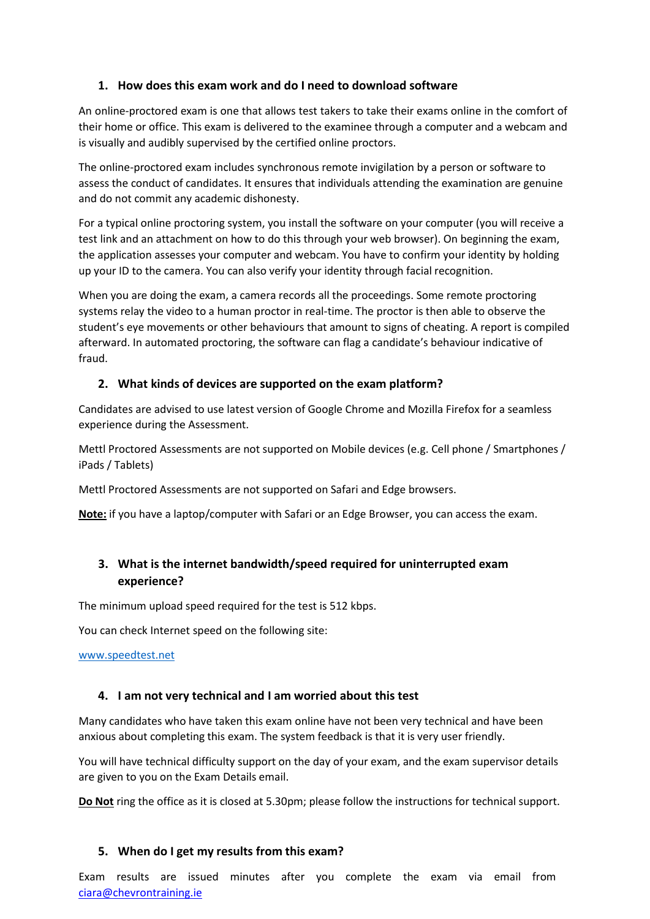# **1. How does this exam work and do I need to download software**

An online-proctored exam is one that allows test takers to take their exams online in the comfort of their home or office. This exam is delivered to the examinee through a computer and a webcam and is visually and audibly supervised by the certified online proctors.

The online-proctored exam includes synchronous remote invigilation by a person or software to assess the conduct of candidates. It ensures that individuals attending the examination are genuine and do not commit any academic dishonesty.

For a typical online proctoring system, you install the software on your computer (you will receive a test link and an attachment on how to do this through your web browser). On beginning the exam, the application assesses your computer and webcam. You have to confirm your identity by holding up your ID to the camera. You can also verify your identity through facial recognition.

When you are doing the exam, a camera records all the proceedings. Some remote proctoring systems relay the video to a human proctor in real-time. The proctor is then able to observe the student's eye movements or other behaviours that amount to signs of cheating. A report is compiled afterward. In automated proctoring, the software can flag a candidate's behaviour indicative of fraud.

### **2. What kinds of devices are supported on the exam platform?**

Candidates are advised to use latest version of Google Chrome and Mozilla Firefox for a seamless experience during the Assessment.

Mettl Proctored Assessments are not supported on Mobile devices (e.g. Cell phone / Smartphones / iPads / Tablets)

Mettl Proctored Assessments are not supported on Safari and Edge browsers.

**Note:** if you have a laptop/computer with Safari or an Edge Browser, you can access the exam.

# **3. What is the internet bandwidth/speed required for uninterrupted exam experience?**

The minimum upload speed required for the test is 512 kbps.

You can check Internet speed on the following site:

[www.speedtest.net](http://www.speedtest.net/)

### **4. I am not very technical and I am worried about this test**

Many candidates who have taken this exam online have not been very technical and have been anxious about completing this exam. The system feedback is that it is very user friendly.

You will have technical difficulty support on the day of your exam, and the exam supervisor details are given to you on the Exam Details email.

**Do Not** ring the office as it is closed at 5.30pm; please follow the instructions for technical support.

### **5. When do I get my results from this exam?**

Exam results are issued minutes after you complete the exam via email from [ciara@chevrontraining.ie](mailto:ciara@chevrontraining.ie)